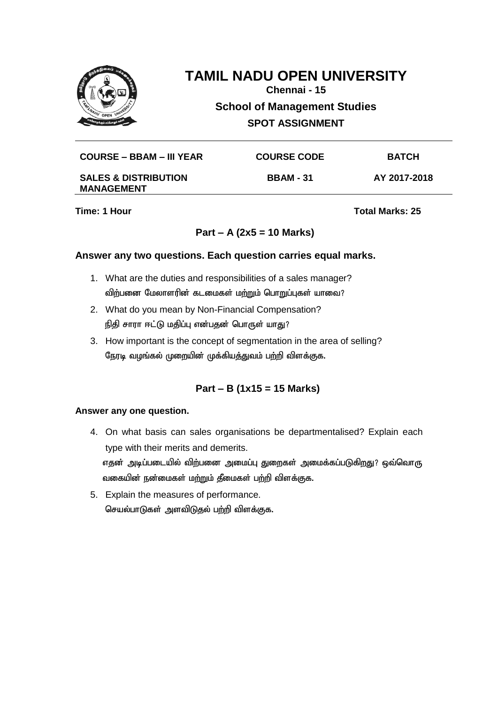

**Chennai - 15**

**School of Management Studies**

**SPOT ASSIGNMENT**

| COURSE – BBAM – III YEAR                             | <b>COURSE CODE</b> | <b>BATCH</b> |
|------------------------------------------------------|--------------------|--------------|
| <b>SALES &amp; DISTRIBUTION</b><br><b>MANAGEMENT</b> | <b>BBAM - 31</b>   | AY 2017-2018 |

**Time: 1 Hour Total Marks: 25** 

## **Part – A (2x5 = 10 Marks)**

#### **Answer any two questions. Each question carries equal marks.**

- 1. What are the duties and responsibilities of a sales manager? விற்பனை மேலாளரின் கடமைகள் மற்றும் பொறுப்புகள் யாவை?
- 2. What do you mean by Non-Financial Compensation? நிதி சாரா ஈட்டு மதிப்பு என்பதன் பொருள் யாது?
- 3. How important is the concept of segmentation in the area of selling? நேரடி வழங்கல் முறையின் முக்கியத்துவம் பற்றி விளக்குக.

## **Part – B (1x15 = 15 Marks)**

#### **Answer any one question.**

4. On what basis can sales organisations be departmentalised? Explain each type with their merits and demerits.

எதன் அடிப்படையில் விற்பனை அமைப்பு துறைகள் அமைக்கப்படுகிறது? ஒவ்வொரு வகையின் நன்மைகள் மற்றும் தீமைகள் பற்றி விளக்குக.

5. Explain the measures of performance. செயல்பாடுகள் அளவிடுதல் பற்றி விளக்குக.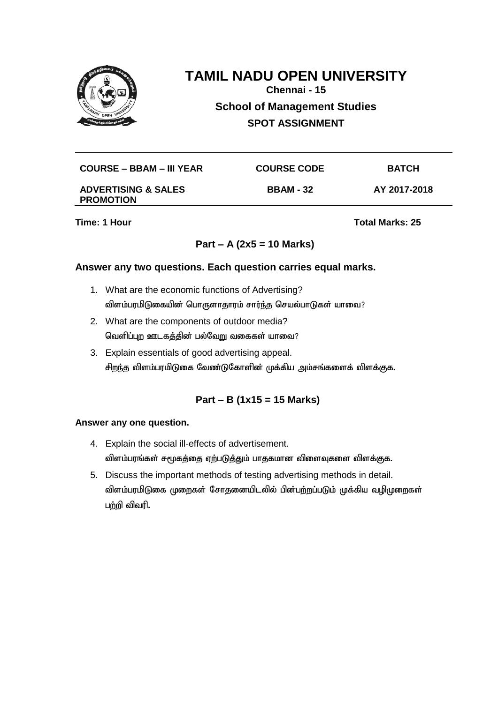

**Chennai - 15**

**School of Management Studies**

**SPOT ASSIGNMENT**

| COURSE – BBAM – III YEAR | <b>COURSE CODE</b> | <b>BATCH</b> |
|--------------------------|--------------------|--------------|
|                          |                    |              |

#### **ADVERTISING & SALES PROMOTION**

**BBAM - 32 AY 2017-2018**

**Time: 1 Hour Total Marks: 25** 

# **Part – A (2x5 = 10 Marks)**

## **Answer any two questions. Each question carries equal marks.**

- 1. What are the economic functions of Advertising? விளம்பரமிடுகையின் பொருளாதாரம் சார்ந்த செயல்பாடுகள் யாவை?
- 2. What are the components of outdoor media? வெளிப்புற ஊடகத்தின் பல்வேறு வகைகள் யாவை?
- 3. Explain essentials of good advertising appeal. சிறந்த விளம்பரமிடுகை வேண்டுகோளின் முக்கிய அம்சங்களைக் விளக்குக.

# **Part – B (1x15 = 15 Marks)**

- 4. Explain the social ill-effects of advertisement. விளம்பரங்கள் சமூகத்தை ஏற்படுத்தும் பாதகமான விளைவுகளை விளக்குக.
- 5. Discuss the important methods of testing advertising methods in detail. விளம்பரமிடுகை முறைகள் சோதனையிடலில் பின்பற்றப்படும் முக்கிய வழிமுறைகள் பற்றி விவரி.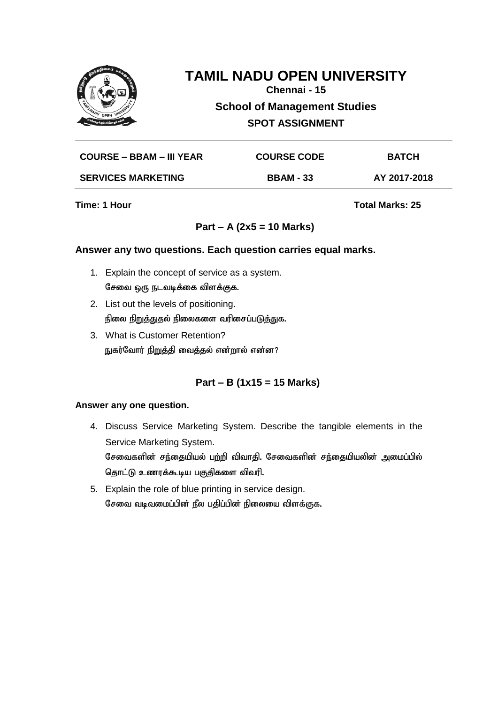

**Chennai - 15**

**School of Management Studies**

**SPOT ASSIGNMENT**

| <b>COURSE – BBAM – III YEAR</b> | <b>COURSE CODE</b> | <b>BATCH</b> |
|---------------------------------|--------------------|--------------|
| <b>SERVICES MARKETING</b>       | <b>BBAM - 33</b>   | AY 2017-2018 |

**Time: 1 Hour Total Marks: 25** 

# **Part – A (2x5 = 10 Marks)**

#### **Answer any two questions. Each question carries equal marks.**

- 1. Explain the concept of service as a system. சேவை ஒரு நடவடிக்கை விளக்குக.
- 2. List out the levels of positioning. நிலை நிறுத்துதல் நிலைகளை வரிசைப்படுத்துக.
- 3. What is Customer Retention? நுகர்வோர் நிறுத்தி வைத்தல் என்றால் என்ன?

# **Part – B (1x15 = 15 Marks)**

- 4. Discuss Service Marketing System. Describe the tangible elements in the Service Marketing System. சேவைகளின் சந்தையியல் பற்றி விவாதி. சேவைகளின் சந்தையியலின் அமைப்பில் தொட்டு உணரக்கூடிய பகுதிகளை விவரி.
- 5. Explain the role of blue printing in service design. சேவை வடிவமைப்பின் நீல பதிப்பின் நிலையை விளக்குக.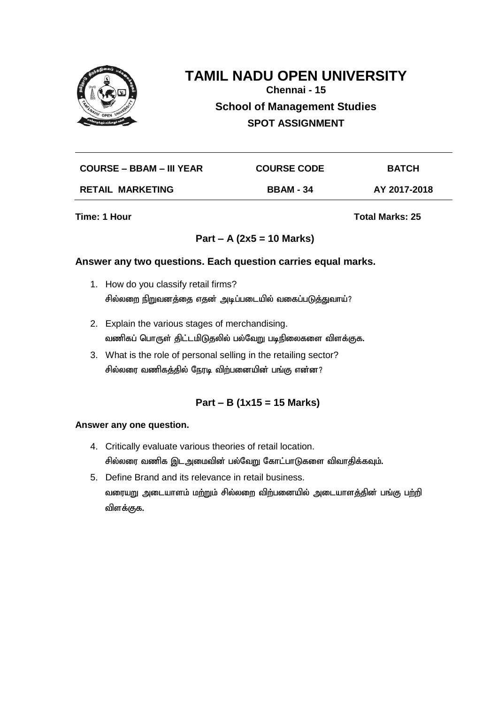

**Chennai - 15**

**School of Management Studies**

**SPOT ASSIGNMENT**

| <b>COURSE – BBAM – III YEAR</b> | <b>COURSE CODE</b> | <b>BATCH</b> |
|---------------------------------|--------------------|--------------|
| <b>RETAIL MARKETING</b>         | <b>BBAM - 34</b>   | AY 2017-2018 |

**Time: 1 Hour Total Marks: 25** 

# **Part – A (2x5 = 10 Marks)**

## **Answer any two questions. Each question carries equal marks.**

- 1. How do you classify retail firms? சில்லறை நிறுவனத்தை எதன் அடிப்படையில் வகைப்படுத்துவாய்?
- 2. Explain the various stages of merchandising. வணிகப் பொருள் திட்டமிடுதலில் பல்வேறு படிநிலைகளை விளக்குக.
- 3. What is the role of personal selling in the retailing sector? சில்லரை வணிகத்தில் நேரடி விற்பனையின் பங்கு என்ன?

# **Part – B (1x15 = 15 Marks)**

- 4. Critically evaluate various theories of retail location. சில்லரை வணிக இடஅமைவின் பல்வேறு கோட்பாடுகளை விவாதிக்கவும்.
- 5. Define Brand and its relevance in retail business. வரையறு அடையாளம் மற்றும் சில்லறை விற்பனையில் அடையாளத்தின் பங்கு பற்றி விளக்குக.